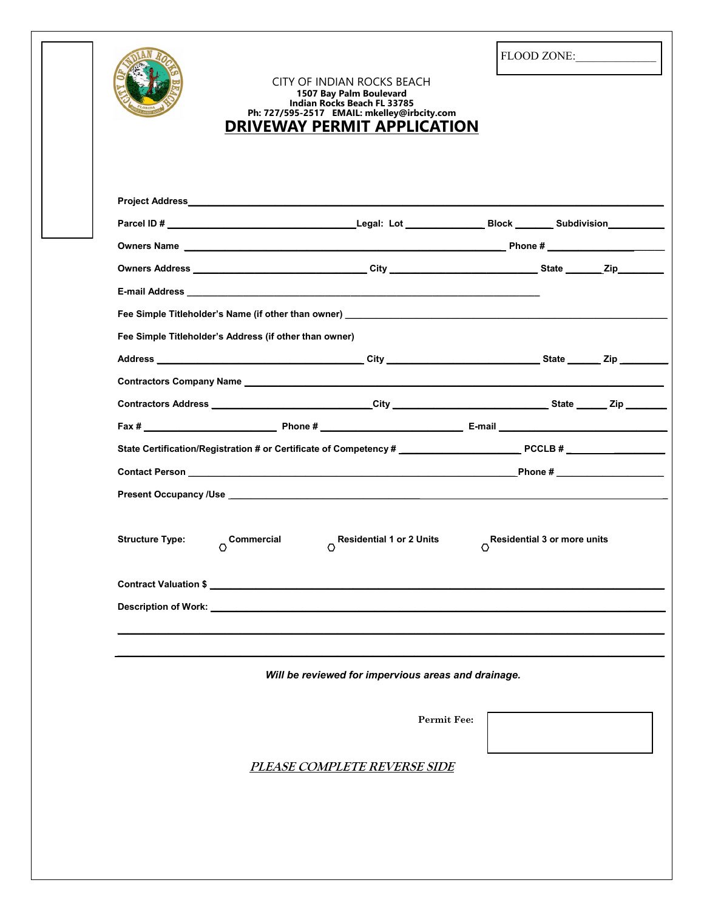|                                                        | Project Address <b>contract and the contract of the contract of the contract of the contract of the contract of the contract of the contract of the contract of the contract of the contract of the contract of the contract of </b> |                                               |  |
|--------------------------------------------------------|--------------------------------------------------------------------------------------------------------------------------------------------------------------------------------------------------------------------------------------|-----------------------------------------------|--|
|                                                        |                                                                                                                                                                                                                                      |                                               |  |
|                                                        | Owners Address __________________________________City ___________________________State ________Zip____________                                                                                                                       |                                               |  |
|                                                        |                                                                                                                                                                                                                                      |                                               |  |
|                                                        |                                                                                                                                                                                                                                      |                                               |  |
| Fee Simple Titleholder's Address (if other than owner) |                                                                                                                                                                                                                                      |                                               |  |
|                                                        |                                                                                                                                                                                                                                      |                                               |  |
|                                                        |                                                                                                                                                                                                                                      |                                               |  |
|                                                        |                                                                                                                                                                                                                                      |                                               |  |
|                                                        |                                                                                                                                                                                                                                      |                                               |  |
|                                                        |                                                                                                                                                                                                                                      |                                               |  |
|                                                        |                                                                                                                                                                                                                                      |                                               |  |
|                                                        | <b>Present Occupancy /Use</b> and the state of the state of the state of the state of the state of the state of the state of the state of the state of the state of the state of the state of the state of the state of the state o  |                                               |  |
| <b>Structure Type:</b><br>Commercial<br>$\circ$        | <b>Residential 1 or 2 Units</b><br>O<br>Contract Valuation \$                                                                                                                                                                        | <b>Residential 3 or more units</b><br>$\circ$ |  |
|                                                        | Will be reviewed for impervious areas and drainage.                                                                                                                                                                                  |                                               |  |
|                                                        |                                                                                                                                                                                                                                      | <b>Permit Fee:</b>                            |  |
|                                                        |                                                                                                                                                                                                                                      |                                               |  |
|                                                        | <b>PLEASE COMPLETE REVERSE SIDE</b>                                                                                                                                                                                                  |                                               |  |